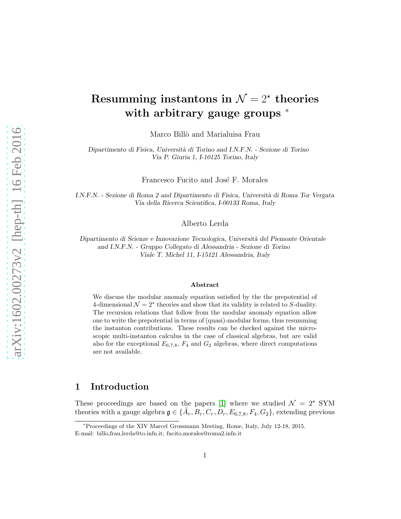# Resumming instantons in  $\mathcal{N} = 2^*$  theories with arbitrary gauge groups  $*$

Marco Billò and Marialuisa Frau

Dipartimento di Fisica, Universit`a di Torino and I.N.F.N. - Sezione di Torino Via P. Giuria 1, I-10125 Torino, Italy

Francesco Fucito and José F. Morales

I.N.F.N. - Sezione di Roma 2 and Dipartimento di Fisica, Universit`a di Roma Tor Vergata Via della Ricerca Scientifica, I-00133 Roma, Italy

Alberto Lerda

Dipartimento di Scienze e Innovazione Tecnologica, Universit`a del Piemonte Orientale and I.N.F.N. - Gruppo Collegato di Alessandria - Sezione di Torino Viale T. Michel 11, I-15121 Alessandria, Italy

#### Abstract

We discuss the modular anomaly equation satisfied by the the prepotential of 4-dimensional  $\mathcal{N} = 2^*$  theories and show that its validity is related to S-duality. The recursion relations that follow from the modular anomaly equation allow one to write the prepotential in terms of (quasi)-modular forms, thus resumming the instanton contributions. These results can be checked against the microscopic multi-instanton calculus in the case of classical algebras, but are valid also for the exceptional  $E_{6,7,8}$ ,  $F_4$  and  $G_2$  algebras, where direct computations are not available.

# 1 Introduction

These proceedings are based on the papers [\[1\]](#page-12-0) where we studied  $\mathcal{N} = 2^{\star}$  SYM theories with a gauge algebra  $\mathfrak{g} \in {\{\tilde{A}_r, B_r, C_r, D_r, E_{6,7,8}, F_4, G_2\}}$ , extending previous

<sup>∗</sup>Proceedings of the XIV Marcel Grossmann Meeting, Rome, Italy, July 12-18, 2015. E-mail: billo,frau,lerda@to.infn.it; fucito,morales@roma2.infn.it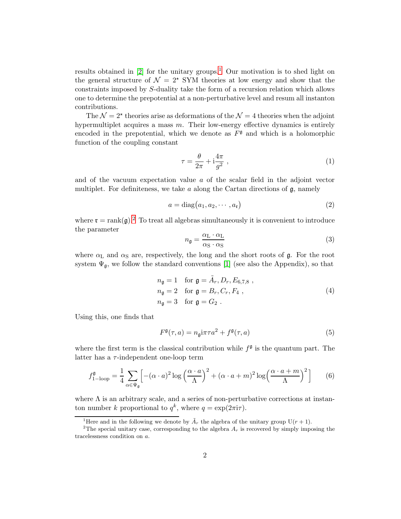results obtained in  $[2]$  for the unitary groups.<sup>[1](#page-1-0)</sup> Our motivation is to shed light on the general structure of  $\mathcal{N} = 2^{\star}$  SYM theories at low energy and show that the constraints imposed by S-duality take the form of a recursion relation which allows one to determine the prepotential at a non-perturbative level and resum all instanton contributions.

The  $\mathcal{N} = 2^{\star}$  theories arise as deformations of the  $\mathcal{N} = 4$  theories when the adjoint hypermultiplet acquires a mass m. Their low-energy effective dynamics is entirely encoded in the prepotential, which we denote as  $F^{\mathfrak{g}}$  and which is a holomorphic function of the coupling constant

$$
\tau = \frac{\theta}{2\pi} + i\frac{4\pi}{g^2} \,,\tag{1}
$$

and of the vacuum expectation value a of the scalar field in the adjoint vector multiplet. For definiteness, we take  $a$  along the Cartan directions of  $\mathfrak{g}$ , namely

$$
a = \text{diag}(a_1, a_2, \cdots, a_{r})
$$
\n(2)

where  $\mathfrak{r} = \text{rank}(\mathfrak{g})^2$  $\mathfrak{r} = \text{rank}(\mathfrak{g})^2$ . To treat all algebras simultaneously it is convenient to introduce the parameter

$$
n_{\mathfrak{g}} = \frac{\alpha_{\rm L} \cdot \alpha_{\rm L}}{\alpha_{\rm S} \cdot \alpha_{\rm S}} \tag{3}
$$

where  $\alpha$ <sub>L</sub> and  $\alpha$ <sub>S</sub> are, respectively, the long and the short roots of **g**. For the root system  $\Psi_{\mathfrak{g}}$ , we follow the standard conventions [\[1\]](#page-12-0) (see also the Appendix), so that

$$
n_{\mathfrak{g}} = 1 \quad \text{for } \mathfrak{g} = \tilde{A}_r, D_r, E_{6,7,8} ,
$$
  
\n
$$
n_{\mathfrak{g}} = 2 \quad \text{for } \mathfrak{g} = B_r, C_r, F_4 ,
$$
  
\n
$$
n_{\mathfrak{g}} = 3 \quad \text{for } \mathfrak{g} = G_2 .
$$
\n(4)

Using this, one finds that

$$
F^{\mathfrak{g}}(\tau,a) = n_{\mathfrak{g}} \mathbf{i} \pi \tau a^2 + f^{\mathfrak{g}}(\tau,a)
$$
 (5)

where the first term is the classical contribution while  $f^{\mathfrak{g}}$  is the quantum part. The latter has a  $\tau$ -independent one-loop term

<span id="page-1-2"></span>
$$
f_{1-\text{loop}}^{\mathfrak{g}} = \frac{1}{4} \sum_{\alpha \in \Psi_{\mathfrak{g}}} \left[ -(\alpha \cdot a)^2 \log \left( \frac{\alpha \cdot a}{\Lambda} \right)^2 + (\alpha \cdot a + m)^2 \log \left( \frac{\alpha \cdot a + m}{\Lambda} \right)^2 \right] \tag{6}
$$

where  $\Lambda$  is an arbitrary scale, and a series of non-perturbative corrections at instanton number k proportional to  $q^k$ , where  $q = \exp(2\pi i \tau)$ .

<span id="page-1-0"></span><sup>&</sup>lt;sup>1</sup>Here and in the following we denote by  $\tilde{A}_r$  the algebra of the unitary group U(r + 1).

<span id="page-1-1"></span><sup>&</sup>lt;sup>2</sup>The special unitary case, corresponding to the algebra  $A_r$  is recovered by simply imposing the tracelessness condition on a.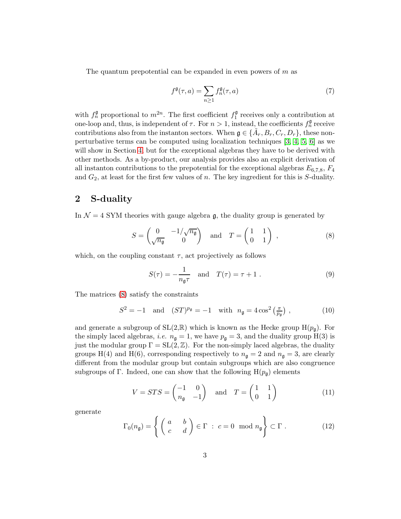The quantum prepotential can be expanded in even powers of  $m$  as

<span id="page-2-2"></span>
$$
f^{\mathfrak{g}}(\tau,a) = \sum_{n \ge 1} f_n^{\mathfrak{g}}(\tau,a)
$$
 (7)

with  $f_n^{\mathfrak{g}}$  proportional to  $m^{2n}$ . The first coefficient  $f_1^{\mathfrak{g}}$  receives only a contribution at one-loop and, thus, is independent of  $\tau$ . For  $n > 1$ , instead, the coefficients  $f_n^{\mathfrak{g}}$  receive contributions also from the instanton sectors. When  $\mathfrak{g} \in {\tilde{A}_r, B_r, C_r, D_r}$ , these nonperturbative terms can be computed using localization techniques [\[3,](#page-13-0) [4,](#page-13-1) [5,](#page-13-2) [6\]](#page-13-3) as we will show in Section [4,](#page-7-0) but for the exceptional algebras they have to be derived with other methods. As a by-product, our analysis provides also an explicit derivation of all instanton contributions to the prepotential for the exceptional algebras  $E_{6,7,8}$ ,  $F_4$ and  $G_2$ , at least for the first few values of n. The key ingredient for this is S-duality.

# 2 S-duality

In  $\mathcal{N} = 4$  SYM theories with gauge algebra g, the duality group is generated by

<span id="page-2-0"></span>
$$
S = \begin{pmatrix} 0 & -1/\sqrt{n_{\mathfrak{g}}}\\ \sqrt{n_{\mathfrak{g}}} & 0 \end{pmatrix} \quad \text{and} \quad T = \begin{pmatrix} 1 & 1\\ 0 & 1 \end{pmatrix} , \tag{8}
$$

which, on the coupling constant  $\tau$ , act projectively as follows

<span id="page-2-1"></span>
$$
S(\tau) = -\frac{1}{n_{\mathfrak{g}}\tau} \quad \text{and} \quad T(\tau) = \tau + 1 \; . \tag{9}
$$

The matrices [\(8\)](#page-2-0) satisfy the constraints

$$
S^2 = -1
$$
 and  $(ST)^{p_{\mathfrak{g}}} = -1$  with  $n_{\mathfrak{g}} = 4 \cos^2 \left(\frac{\pi}{p_{\mathfrak{g}}}\right)$ , (10)

and generate a subgroup of  $SL(2,\mathbb{R})$  which is known as the Hecke group  $H(p_{\mathfrak{q}})$ . For the simply laced algebras, *i.e.*  $n_{\mathfrak{q}} = 1$ , we have  $p_{\mathfrak{q}} = 3$ , and the duality group H(3) is just the modular group  $\Gamma = SL(2, \mathbb{Z})$ . For the non-simply laced algebras, the duality groups H(4) and H(6), corresponding respectively to  $n_{\mathfrak{g}} = 2$  and  $n_{\mathfrak{g}} = 3$ , are clearly different from the modular group but contain subgroups which are also congruence subgroups of Γ. Indeed, one can show that the following  $H(p_{\mathfrak{q}})$  elements

$$
V = STS = \begin{pmatrix} -1 & 0 \\ n_{\mathfrak{g}} & -1 \end{pmatrix} \quad \text{and} \quad T = \begin{pmatrix} 1 & 1 \\ 0 & 1 \end{pmatrix} \tag{11}
$$

generate

$$
\Gamma_0(n_{\mathfrak{g}}) = \left\{ \begin{pmatrix} a & b \\ c & d \end{pmatrix} \in \Gamma \; : \; c = 0 \mod n_{\mathfrak{g}} \right\} \subset \Gamma \; . \tag{12}
$$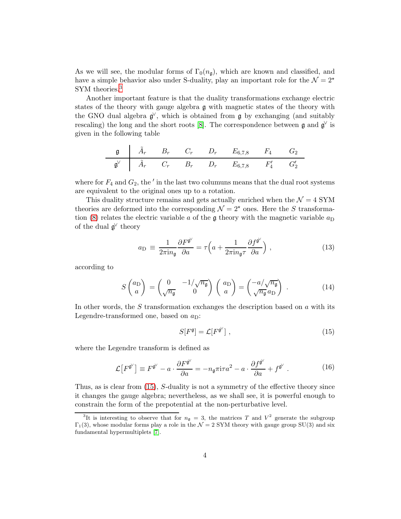As we will see, the modular forms of  $\Gamma_0(n_q)$ , which are known and classified, and have a simple behavior also under S-duality, play an important role for the  $\mathcal{N} = 2^{\star}$ SYM theories.<sup>[3](#page-3-0)</sup>

Another important feature is that the duality transformations exchange electric states of the theory with gauge algebra g with magnetic states of the theory with the GNO dual algebra  $\mathfrak{g}^{\vee}$ , which is obtained from  $\mathfrak{g}$  by exchanging (and suitably rescaling) the long and the short roots [\[8\]](#page-13-4). The correspondence between  $\mathfrak g$  and  $\mathfrak g^{\vee}$  is given in the following table

$$
\begin{array}{c|cccccc}\n\mathfrak{g} & \tilde{A}_r & B_r & C_r & D_r & E_{6,7,8} & F_4 & G_2 \\
\hline\n\mathfrak{g}^\vee & \tilde{A}_r & C_r & B_r & D_r & E_{6,7,8} & F_4' & G_2'\n\end{array}
$$

where for  $F_4$  and  $G_2$ , the  $'$  in the last two columuns means that the dual root systems are equivalent to the original ones up to a rotation.

This duality structure remains and gets actually enriched when the  $\mathcal{N} = 4$  SYM theories are deformed into the corresponding  $\mathcal{N} = 2^{\star}$  ones. Here the S transforma-tion [\(8\)](#page-2-0) relates the electric variable a of the  $\mathfrak g$  theory with the magnetic variable  $a_D$ of the dual  $\mathfrak{g}^{\vee}$  theory

<span id="page-3-2"></span>
$$
a_{\rm D} \equiv \frac{1}{2\pi i n_{\rm g}} \frac{\partial F^{\mathfrak{g}^{\vee}}}{\partial a} = \tau \left( a + \frac{1}{2\pi i n_{\rm g} \tau} \frac{\partial f^{\mathfrak{g}^{\vee}}}{\partial a} \right) , \qquad (13)
$$

according to

<span id="page-3-3"></span>
$$
S\begin{pmatrix} a_{\rm D} \\ a \end{pmatrix} = \begin{pmatrix} 0 & -1/\sqrt{n_{\rm g}} \\ \sqrt{n_{\rm g}} & 0 \end{pmatrix} \begin{pmatrix} a_{\rm D} \\ a \end{pmatrix} = \begin{pmatrix} -a/\sqrt{n_{\rm g}} \\ \sqrt{n_{\rm g}} a_{\rm D} \end{pmatrix} . \tag{14}
$$

In other words, the  $S$  transformation exchanges the description based on  $\alpha$  with its Legendre-transformed one, based on  $a_D$ :

<span id="page-3-1"></span>
$$
S[F^{\mathfrak{g}}] = \mathcal{L}[F^{\mathfrak{g}^{\vee}}] \tag{15}
$$

where the Legendre transform is defined as

$$
\mathcal{L}\left[F^{\mathfrak{g}^{\vee}}\right] \equiv F^{\mathfrak{g}^{\vee}} - a \cdot \frac{\partial F^{\mathfrak{g}^{\vee}}}{\partial a} = -n_{\mathfrak{g}} \pi i \tau a^2 - a \cdot \frac{\partial f^{\mathfrak{g}^{\vee}}}{\partial a} + f^{\mathfrak{g}^{\vee}}.
$$
 (16)

Thus, as is clear from [\(15\)](#page-3-1), S-duality is not a symmetry of the effective theory since it changes the gauge algebra; nevertheless, as we shall see, it is powerful enough to constrain the form of the prepotential at the non-perturbative level.

<span id="page-3-0"></span><sup>&</sup>lt;sup>3</sup>It is interesting to observe that for  $n_{\mathfrak{g}} = 3$ , the matrices T and  $V^2$  generate the subgroup  $\Gamma_1(3)$ , whose modular forms play a role in the  $\mathcal{N}=2$  SYM theory with gauge group SU(3) and six fundamental hypermultiplets [\[7\]](#page-13-5).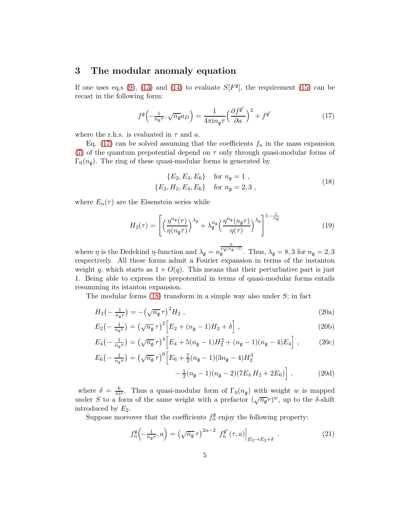# 3 The modular anomaly equation

If one uses eq.s [\(9\)](#page-2-1), [\(13\)](#page-3-2) and [\(14\)](#page-3-3) to evaluate  $S[F<sup>\mathfrak{g}]</sup>$ , the requirement [\(15\)](#page-3-1) can be recast in the following form:

<span id="page-4-0"></span>
$$
f^{\mathfrak{g}}\left(-\frac{1}{n_{\mathfrak{g}}\tau},\sqrt{n_{\mathfrak{g}}}a_{D}\right) = \frac{1}{4\pi i n_{\mathfrak{g}}\tau} \left(\frac{\partial f^{\mathfrak{g}^{\vee}}}{\partial a}\right)^{2} + f^{\mathfrak{g}^{\vee}} \tag{17}
$$

where the r.h.s. is evaluated in  $\tau$  and  $a$ .

Eq. [\(17\)](#page-4-0) can be solved assuming that the coefficients  $f_n$  in the mass expansion [\(7\)](#page-2-2) of the quantum prepotential depend on  $\tau$  only through quasi-modular forms of  $\Gamma_0(n_{\rm g})$ . The ring of these quasi-modular forms is generated by

<span id="page-4-1"></span>
$$
\{E_2, E_4, E_6\} \quad \text{for } n_{\mathfrak{g}} = 1 ,\n\{E_2, H_2, E_4, E_6\} \quad \text{for } n_{\mathfrak{g}} = 2, 3 , \tag{18}
$$

where  $E_n(\tau)$  are the Eisenstein series while

$$
H_2(\tau) = \left[ \left( \frac{\eta^{n_{\mathfrak{g}}}(\tau)}{\eta(n_{\mathfrak{g}}\tau)} \right)^{\lambda_{\mathfrak{g}}} + \lambda_{\mathfrak{g}}^{n_{\mathfrak{g}}} \left( \frac{\eta^{n_{\mathfrak{g}}}(n_{\mathfrak{g}}\tau)}{\eta(\tau)} \right)^{\lambda_{\mathfrak{g}}} \right]^{1 - \frac{1}{n_{\mathfrak{g}}}} \tag{19}
$$

where  $\eta$  is the Dedekind  $\eta$ -function and  $\lambda_{\mathfrak{g}} = n$  $\frac{\frac{6}{n_{\mathfrak{g}}(n_{\mathfrak{g}}-1)}}{\mathfrak{g}}$ . Thus,  $\lambda_{\mathfrak{g}}=8,3$  for  $n_{\mathfrak{g}}=2,3$ respectively. All these forms admit a Fourier expansion in terms of the instanton weight q, which starts as  $1 + O(q)$ . This means that their perturbative part is just 1. Being able to express the prepotential in terms of quasi-modular forms entails resumming its istanton expansion.

The modular forms  $(18)$  transform in a simple way also under S; in fact

$$
H_2\left(-\frac{1}{n_{\mathfrak{g}}\tau}\right) = -\left(\sqrt{n_{\mathfrak{g}}}\,\tau\right)^2 H_2\,,\tag{20a}
$$

$$
E_2\left(-\frac{1}{n_{\mathfrak{g}}\tau}\right) = \left(\sqrt{n_{\mathfrak{g}}}\,\tau\right)^2 \left[E_2 + (n_{\mathfrak{g}} - 1)H_2 + \delta\right],\tag{20b}
$$

$$
E_4\left(-\frac{1}{n_{\mathfrak{g}}\tau}\right) = \left(\sqrt{n_{\mathfrak{g}}}\,\tau\right)^4 \left[E_4 + 5(n_{\mathfrak{g}} - 1)H_2^2 + (n_{\mathfrak{g}} - 1)(n_{\mathfrak{g}} - 4)E_4\right],\tag{20c}
$$

$$
E_6\left(-\frac{1}{n_{\mathfrak{g}}\tau}\right) = \left(\sqrt{n_{\mathfrak{g}}}\,\tau\right)^6 \left[E_6 + \frac{7}{2}(n_{\mathfrak{g}} - 1)(3n_{\mathfrak{g}} - 4)H_2^3 - \frac{1}{2}(n_{\mathfrak{g}} - 1)(n_{\mathfrak{g}} - 2)(7E_4 H_2 + 2E_6)\right],\tag{20d}
$$

where  $\delta = \frac{6}{\pi i \tau}$ . Thus a quasi-modular form of  $\Gamma_0(n_{\mathfrak{g}})$  with weight w is mapped under S to a form of the same weight with a prefactor  $(\sqrt{n_{\mathfrak{g}}}\tau)^w$ , up to the  $\delta$ -shift introduced by  $E_2$ .

Suppose moreover that the coefficients  $f_n^{\mathfrak{g}}$  enjoy the following property:

<span id="page-4-3"></span><span id="page-4-2"></span>
$$
f_n^{\mathfrak{g}}\left(-\frac{1}{n_{\mathfrak{g}}\tau},a\right) = \left(\sqrt{n_{\mathfrak{g}}}\,\tau\right)^{2n-2} f_n^{\mathfrak{g}'}(\tau,a)\Big|_{E_2 \to E_2 + \delta} \tag{21}
$$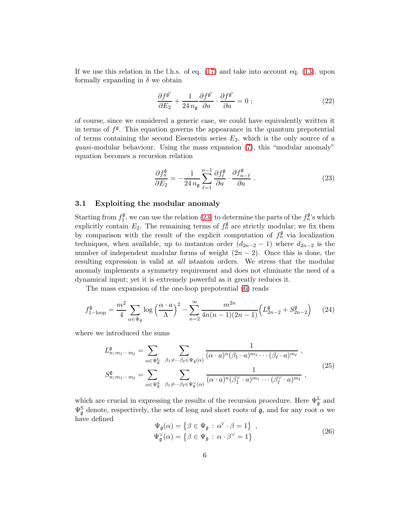If we use this relation in the l.h.s. of eq. [\(17\)](#page-4-0) and take into account eq. [\(13\)](#page-3-2), upon formally expanding in  $\delta$  we obtain

$$
\frac{\partial f^{\mathfrak{g}^{\vee}}}{\partial E_2} + \frac{1}{24 n_{\mathfrak{g}}} \frac{\partial f^{\mathfrak{g}^{\vee}}}{\partial a} \cdot \frac{\partial f^{\mathfrak{g}^{\vee}}}{\partial a} = 0 ; \qquad (22)
$$

of course, since we considered a generic case, we could have equivalently written it in terms of  $f^{\mathfrak{g}}$ . This equation governs the appearance in the quantum prepotential of terms containing the second Eisenstein series  $E_2$ , which is the only source of a quasi-modular behaviour. Using the mass expansion [\(7\)](#page-2-2), this "modular anomaly" equation becomes a recursion relation

<span id="page-5-0"></span>
$$
\frac{\partial f_n^{\mathfrak{g}}}{\partial E_2} = -\frac{1}{24 n_{\mathfrak{g}}} \sum_{\ell=1}^{n-1} \frac{\partial f_\ell^{\mathfrak{g}}}{\partial a} \cdot \frac{\partial f_{n-\ell}^{\mathfrak{g}}}{\partial a} \ . \tag{23}
$$

### 3.1 Exploiting the modular anomaly

Starting from  $f_1^{\mathfrak{g}}$ , we can use the relation [\(23\)](#page-5-0) to determine the parts of the  $f_n^{\mathfrak{g}}$ 's which explicitly contain  $E_2$ . The remaining terms of  $f_n^{\mathfrak{g}}$  are strictly modular; we fix them by comparison with the result of the explicit computation of  $f_n^{\mathfrak{g}}$  via localization techniques, when available, up to instanton order  $(d_{2n-2}-1)$  where  $d_{2n-2}$  is the number of independent modular forms of weight  $(2n - 2)$ . Once this is done, the resulting expression is valid at all istanton orders. We stress that the modular anomaly implements a symmetry requirement and does not eliminate the need of a dynamical input; yet it is extremely powerful as it greatly reduces it.

The mass expansion of the one-loop prepotential [\(6\)](#page-1-2) reads

<span id="page-5-1"></span>
$$
f_{1-\text{loop}}^{\mathfrak{g}} = \frac{m^2}{4} \sum_{\alpha \in \Psi_{\mathfrak{g}}} \log \left( \frac{\alpha \cdot a}{\Lambda} \right)^2 - \sum_{n=2}^{\infty} \frac{m^{2n}}{4n(n-1)(2n-1)} \left( L_{2n-2}^{\mathfrak{g}} + S_{2n-2}^{\mathfrak{g}} \right) \tag{24}
$$

where we introduced the sums

<span id="page-5-2"></span>
$$
L_{n; m_1 \cdots m_\ell}^{\mathfrak{g}} = \sum_{\alpha \in \Psi_{\mathfrak{g}}^{\mathbb{L}}} \sum_{\beta_1 \neq \cdots \beta_\ell \in \Psi_{\mathfrak{g}}(\alpha)} \frac{1}{(\alpha \cdot a)^n (\beta_1 \cdot a)^{m_1} \cdots (\beta_\ell \cdot a)^{m_\ell}},
$$
  

$$
S_{n; m_1 \cdots m_\ell}^{\mathfrak{g}} = \sum_{\alpha \in \Psi_{\mathfrak{g}}^{\mathbb{S}}} \sum_{\beta_1 \neq \cdots \beta_\ell \in \Psi_{\mathfrak{g}}^{\vee}(\alpha)} \frac{1}{(\alpha \cdot a)^n (\beta_1^{\vee} \cdot a)^{m_1} \cdots (\beta_\ell^{\vee} \cdot a)^{m_\ell}},
$$
(25)

which are crucial in expressing the results of the recursion procedure. Here  $\Psi_{\mathfrak{g}}^{\text{L}}$  and  $\Psi^{\rm S}_{\mathfrak{g}}$  denote, respectively, the sets of long and short roots of  $\mathfrak{g}$ , and for any root  $\alpha$  we have defined

$$
\Psi_{\mathfrak{g}}(\alpha) = \{ \beta \in \Psi_{\mathfrak{g}} : \alpha^{\vee} \cdot \beta = 1 \}, \n\Psi_{\mathfrak{g}}^{\vee}(\alpha) = \{ \beta \in \Psi_{\mathfrak{g}} : \alpha \cdot \beta^{\vee} = 1 \}
$$
\n(26)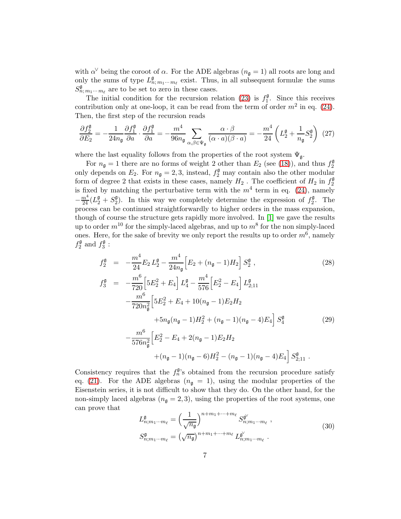with  $\alpha^{\vee}$  being the coroot of  $\alpha$ . For the ADE algebras  $(n_{\mathfrak{g}} = 1)$  all roots are long and only the sums of type  $L^{\mathfrak{g}}_{n; m_1 \cdots m_\ell}$  exist. Thus, in all subsequent formulæ the sums  $S^{\mathfrak{g}}_{n; m_1 \cdots m_\ell}$  are to be set to zero in these cases.

The initial condition for the recursion relation [\(23\)](#page-5-0) is  $f_1^{\mathfrak{g}}$ . Since this receives contribution only at one-loop, it can be read from the term of order  $m^2$  in eq. [\(24\)](#page-5-1). Then, the first step of the recursion reads

$$
\frac{\partial f_2^{\mathfrak{g}}}{\partial E_2} = -\frac{1}{24n_{\mathfrak{g}}} \frac{\partial f_1^{\mathfrak{g}}}{\partial a} \cdot \frac{\partial f_1^{\mathfrak{g}}}{\partial a} = -\frac{m^4}{96n_{\mathfrak{g}}} \sum_{\alpha,\beta \in \Psi_{\mathfrak{g}}} \frac{\alpha \cdot \beta}{(\alpha \cdot a)(\beta \cdot a)} = -\frac{m^4}{24} \left( L_2^{\mathfrak{g}} + \frac{1}{n_{\mathfrak{g}}} S_2^{\mathfrak{g}} \right) (27)
$$

where the last equality follows from the properties of the root system  $\Psi_{\mathfrak{a}}$ .

For  $n_{\mathfrak{g}} = 1$  there are no forms of weight 2 other than  $E_2$  (see [\(18\)](#page-4-1)), and thus  $f_2^{\mathfrak{g}}$ only depends on  $E_2$ . For  $n_{\mathfrak{g}} = 2, 3$ , instead,  $f_2^{\mathfrak{g}}$  may contain also the other modular form of degree 2 that exists in these cases, namely  $H_2$  . The coefficient of  $H_2$  in  $f_2^{\mathfrak{g}}$ is fixed by matching the perturbative term with the  $m<sup>4</sup>$  term in eq. [\(24\)](#page-5-1), namely  $-\frac{m^4}{24}(L_2^{\mathfrak{g}}+S_2^{\mathfrak{g}})$ . In this way we completely determine the expression of  $f_2^{\mathfrak{g}}$ . The process can be continued straightforwardly to higher orders in the mass expansion, though of course the structure gets rapidly more involved. In [\[1\]](#page-12-0) we gave the results up to order  $m^{10}$  for the simply-laced algebras, and up to  $m^8$  for the non simply-laced ones. Here, for the sake of brevity we only report the results up to order  $m^6$ , namely  $f_2^{\mathfrak{g}}$  and  $f_3^{\mathfrak{g}}$  :

<span id="page-6-0"></span>
$$
f_2^{\mathfrak{g}} = -\frac{m^4}{24} E_2 L_2^{\mathfrak{g}} - \frac{m^4}{24n_{\mathfrak{g}}} \Big[ E_2 + (n_{\mathfrak{g}} - 1) H_2 \Big] S_2^{\mathfrak{g}} ,
$$
  
\n
$$
f_3^{\mathfrak{g}} = -\frac{m^6}{720} \Big[ 5E_2^2 + E_4 \Big] L_4^{\mathfrak{g}} - \frac{m^4}{77c} \Big[ E_2^2 - E_4 \Big] L_{2:11}^{\mathfrak{g}}
$$
\n(28)

$$
\begin{split}\n\mathbf{B}_{3}^{3} &= -\frac{m}{720} \left[ 5E_{2}^{2} + E_{4} \right] L_{4}^{9} - \frac{m}{576} \left[ E_{2}^{2} - E_{4} \right] L_{2;11}^{9} \\
&\quad -\frac{m^{6}}{720n_{\mathfrak{g}}^{2}} \left[ 5E_{2}^{2} + E_{4} + 10(n_{\mathfrak{g}} - 1)E_{2}H_{2} \right. \\
&\quad \left. + 5n_{\mathfrak{g}}(n_{\mathfrak{g}} - 1)H_{2}^{2} + (n_{\mathfrak{g}} - 1)(n_{\mathfrak{g}} - 4)E_{4} \right] S_{4}^{9} \tag{29} \\
&\quad -\frac{m^{6}}{576n_{\mathfrak{g}}^{2}} \left[ E_{2}^{2} - E_{4} + 2(n_{\mathfrak{g}} - 1)E_{2}H_{2} \right. \\
&\quad \left. + (n_{\mathfrak{g}} - 1)(n_{\mathfrak{g}} - 6)H_{2}^{2} - (n_{\mathfrak{g}} - 1)(n_{\mathfrak{g}} - 4)E_{4} \right] S_{2;11}^{9} \,.\n\end{split}
$$

Consistency requires that the  $f_n^{\mathfrak{g}}$ 's obtained from the recursion procedure satisfy eq. [\(21\)](#page-4-2). For the ADE algebras  $(n_{\mathfrak{g}} = 1)$ , using the modular properties of the Eisenstein series, it is not difficult to show that they do. On the other hand, for the non-simply laced algebras  $(n_{\rm g}=2,3)$ , using the properties of the root systems, one can prove that

$$
L_{n;m_1\cdots m_\ell}^{\mathfrak{g}} = \left(\frac{1}{\sqrt{n_{\mathfrak{g}}}}\right)^{n+m_1+\cdots+m_\ell} S_{n;m_1\cdots m_\ell}^{\mathfrak{g}^{\vee}},
$$
  

$$
S_{n;m_1\cdots m_\ell}^{\mathfrak{g}} = \left(\sqrt{n_{\mathfrak{g}}}\right)^{n+m_1+\cdots+m_\ell} L_{n;m_1\cdots m_\ell}^{\mathfrak{g}^{\vee}}.
$$
 (30)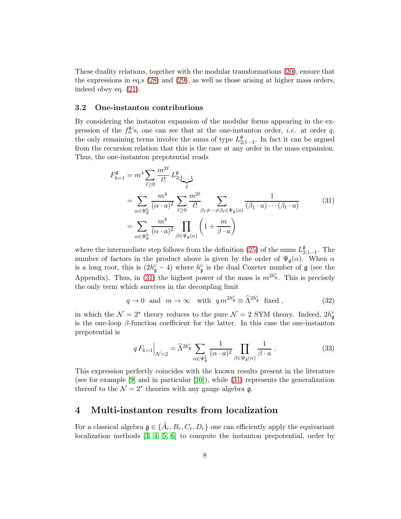These duality relations, together with the modular transformations [\(20\)](#page-4-3), ensure that the expressions in eq.s [\(28\)](#page-6-0) and [\(29\)](#page-6-0), as well as those arising at higher mass orders, indeed obey eq. [\(21\)](#page-4-2).

#### 3.2 One-instanton contributions

By considering the instanton expansion of the modular forms appearing in the expression of the  $f_n^{\mathfrak{g}}$ 's, one can see that at the one-instanton order, *i.e.* at order q, the only remaining terms involve the sums of type  $L_{2;1\cdots1}^{\mathfrak{g}}$ . In fact it can be argued from the recursion relation that this is the case at any order in the mass expansion. Thus, the one-instanton prepotential reads

<span id="page-7-1"></span>
$$
F_{k=1}^{\mathfrak{g}} = m^4 \sum_{\ell \ge 0} \frac{m^{2\ell}}{\ell!} L_{2;1...1}^{\mathfrak{g}} = \sum_{\alpha \in \Psi_{\mathfrak{g}}^{\mathbf{L}}} \frac{m^4}{(\alpha \cdot a)^2} \sum_{\ell \ge 0} \frac{m^{2\ell}}{\ell!} \sum_{\beta_1 \neq \dots \neq \beta_\ell \in \Psi_{\mathfrak{g}}(\alpha)} \frac{1}{(\beta_1 \cdot a) \cdots (\beta_\ell \cdot a)} = \sum_{\alpha \in \Psi_{\mathfrak{g}}^{\mathbf{L}}} \frac{m^4}{(\alpha \cdot a)^2} \prod_{\beta \in \Psi_{\mathfrak{g}}(\alpha)} \left(1 + \frac{m}{\beta \cdot a}\right)
$$
(31)

where the intermediate step follows from the definition [\(25\)](#page-5-2) of the sums  $L_{2;1...1}^{\mathfrak{g}}$ . The number of factors in the product above is given by the order of  $\Psi_{\mathfrak{g}}(\alpha)$ . When  $\alpha$ is a long root, this is  $(2h_{\mathfrak{g}}^{\vee} - 4)$  where  $h_{\mathfrak{g}}^{\vee}$  is the dual Coxeter number of  $\mathfrak{g}$  (see the Appendix). Thus, in [\(31\)](#page-7-1) the highest power of the mass is  $m^{2h_{\mathfrak{g}}'}$ . This is precisely the only term which survives in the decoupling limit

$$
q \to 0 \text{ and } m \to \infty \text{ with } q m^{2h_{\mathfrak{g}}'} \equiv \widehat{\Lambda}^{2h_{\mathfrak{g}}'} \text{ fixed },
$$
 (32)

in which the  $\mathcal{N} = 2^{\star}$  theory reduces to the pure  $\mathcal{N} = 2$  SYM theory. Indeed,  $2h_{\mathfrak{g}}^{\vee}$ is the one-loop  $\beta$ -function coefficient for the latter. In this case the one-instanton prepotential is

$$
q F_{k=1} \Big|_{\mathcal{N}=2} = \widehat{\Lambda}^{2h_{\mathfrak{g}}^{\vee}} \sum_{\alpha \in \Psi_{\mathfrak{g}}^{\mathbb{L}}} \frac{1}{(\alpha \cdot a)^2} \prod_{\beta \in \Psi_{\mathfrak{g}}(\alpha)} \frac{1}{\beta \cdot a} \ . \tag{33}
$$

This expression perfectly coincides with the known results present in the literature (see for example  $[9]$  and in particular  $[10]$ ), while  $(31)$  represents the generalization thereof to the  $\mathcal{N}=2^*$  theories with any gauge algebra **g**.

## <span id="page-7-0"></span>4 Multi-instanton results from localization

For a classical algebra  $\mathfrak{g} \in {\{\tilde{A}_r, B_r, C_r, D_r\}}$  one can efficiently apply the equivariant localization methods [\[3,](#page-13-0) [4,](#page-13-1) [5,](#page-13-2) [6\]](#page-13-3) to compute the instanton prepotential, order by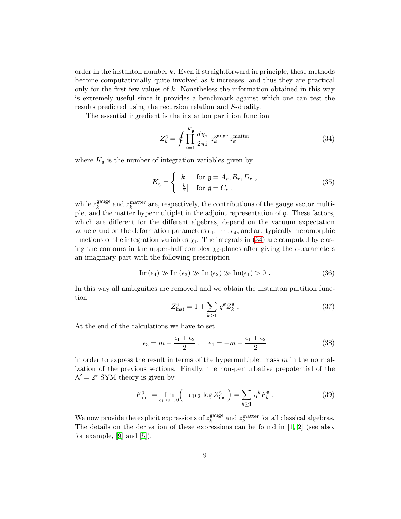order in the instanton number  $k$ . Even if straightforward in principle, these methods become computationally quite involved as  $k$  increases, and thus they are practical only for the first few values of  $k$ . Nonetheless the information obtained in this way is extremely useful since it provides a benchmark against which one can test the results predicted using the recursion relation and S-duality.

The essential ingredient is the instanton partition function

<span id="page-8-0"></span>
$$
Z_k^{\mathfrak{g}} = \oint \prod_{i=1}^{K_{\mathfrak{g}}} \frac{d\chi_i}{2\pi \mathrm{i}} z_k^{\text{gauge}} z_k^{\text{matter}} \tag{34}
$$

where  $K_{\mathfrak{g}}$  is the number of integration variables given by

$$
K_{\mathfrak{g}} = \begin{cases} k & \text{for } \mathfrak{g} = \tilde{A}_r, B_r, D_r ,\\ \left[\frac{k}{2}\right] & \text{for } \mathfrak{g} = C_r , \end{cases}
$$
 (35)

while  $z_k^{\text{gauge}}$ <sup>gauge</sup> and  $z_k^{\text{matter}}$  are, respectively, the contributions of the gauge vector multiplet and the matter hypermultiplet in the adjoint representation of g. These factors, which are different for the different algebras, depend on the vacuum expectation value a and on the deformation parameters  $\epsilon_1, \cdots, \epsilon_4$ , and are typically meromorphic functions of the integration variables  $\chi_i$ . The integrals in [\(34\)](#page-8-0) are computed by closing the contours in the upper-half complex  $\chi_i$ -planes after giving the  $\epsilon$ -parameters an imaginary part with the following prescription

$$
\operatorname{Im}(\epsilon_4) \gg \operatorname{Im}(\epsilon_3) \gg \operatorname{Im}(\epsilon_2) \gg \operatorname{Im}(\epsilon_1) > 0. \tag{36}
$$

In this way all ambiguities are removed and we obtain the instanton partition function

$$
Z_{\text{inst}}^{\mathfrak{g}} = 1 + \sum_{k \ge 1} q^k Z_k^{\mathfrak{g}} . \tag{37}
$$

At the end of the calculations we have to set

$$
\epsilon_3 = m - \frac{\epsilon_1 + \epsilon_2}{2} , \quad \epsilon_4 = -m - \frac{\epsilon_1 + \epsilon_2}{2}
$$
 (38)

in order to express the result in terms of the hypermultiplet mass  $m$  in the normalization of the previous sections. Finally, the non-perturbative prepotential of the  $\mathcal{N} = 2^{\star}$  SYM theory is given by

$$
F_{\text{inst}}^{\mathfrak{g}} = \lim_{\epsilon_1, \epsilon_2 \to 0} \left( -\epsilon_1 \epsilon_2 \log Z_{\text{inst}}^{\mathfrak{g}} \right) = \sum_{k \ge 1} q^k F_k^{\mathfrak{g}}.
$$
 (39)

We now provide the explicit expressions of  $z_k^{\text{gauge}}$ <sup>gauge</sup> and  $z_k^{\text{matter}}$  for all classical algebras. The details on the derivation of these expressions can be found in [\[1,](#page-12-0) [2\]](#page-12-1) (see also, for example,  $[9]$  and  $[5]$ ).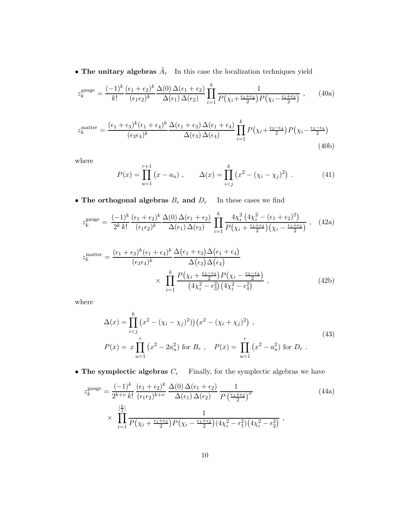• The unitary algebras  $\tilde{A}_r$  In this case the localization techniques yield

$$
z_k^{\text{gauge}} = \frac{(-1)^k}{k!} \frac{(\epsilon_1 + \epsilon_2)^k}{(\epsilon_1 \epsilon_2)^k} \frac{\Delta(0) \Delta(\epsilon_1 + \epsilon_2)}{\Delta(\epsilon_1) \Delta(\epsilon_2)} \prod_{i=1}^k \frac{1}{P(\chi_i + \frac{\epsilon_1 + \epsilon_2}{2}) P(\chi_i - \frac{\epsilon_1 + \epsilon_2}{2})}, \qquad (40a)
$$

$$
z_k^{\text{matter}} = \frac{(\epsilon_1 + \epsilon_3)^k (\epsilon_1 + \epsilon_4)^k}{(\epsilon_3 \epsilon_4)^k} \frac{\Delta(\epsilon_1 + \epsilon_3) \Delta(\epsilon_1 + \epsilon_4)}{\Delta(\epsilon_3) \Delta(\epsilon_4)} \prod_{i=1}^k P(\chi_i + \frac{\epsilon_3 - \epsilon_4}{2}) P(\chi_i - \frac{\epsilon_3 - \epsilon_4}{2})
$$
\n(40b)

where

$$
P(x) = \prod_{u=1}^{r+1} (x - a_u), \qquad \Delta(x) = \prod_{i < j}^{k} (x^2 - (\chi_i - \chi_j)^2) \ . \tag{41}
$$

 $\bullet$  The orthogonal algebras  $B_r$  and  $D_r$   $\;$  In these cases we find

$$
z_k^{\text{gauge}} = \frac{(-1)^k}{2^k k!} \frac{(\epsilon_1 + \epsilon_2)^k}{(\epsilon_1 \epsilon_2)^k} \frac{\Delta(0) \Delta(\epsilon_1 + \epsilon_2)}{\Delta(\epsilon_1) \Delta(\epsilon_2)} \prod_{i=1}^k \frac{4\chi_i^2 (4\chi_i^2 - (\epsilon_1 + \epsilon_2)^2)}{P(\chi_i + \frac{\epsilon_1 + \epsilon_2}{2})(\chi_i - \frac{\epsilon_1 + \epsilon_2}{2})}, \quad (42a)
$$

$$
z_k^{\text{matter}} = \frac{(\epsilon_1 + \epsilon_3)^k (\epsilon_1 + \epsilon_4)^k \Delta(\epsilon_1 + \epsilon_3) \Delta(\epsilon_1 + \epsilon_4)}{(\epsilon_3 \epsilon_4)^k} \times \prod_{i=1}^k \frac{P(\chi_i + \frac{\epsilon_3 - \epsilon_4}{2}) P(\chi_i - \frac{\epsilon_3 - \epsilon_4}{2})}{(4\chi_i^2 - \epsilon_3^2)(4\chi_i^2 - \epsilon_4^2)}, \qquad (42b)
$$

where

$$
\Delta(x) = \prod_{i < j}^{k} \left( x^2 - (\chi_i - \chi_j)^2 \right) \left( x^2 - (\chi_i + \chi_j)^2 \right) ,
$$
\n
$$
P(x) = x \prod_{u=1}^{r} \left( x^2 - 2a_u^2 \right) \text{ for } B_r , \quad P(x) = \prod_{u=1}^{r} \left( x^2 - a_u^2 \right) \text{ for } D_r .
$$
\n
$$
(43)
$$

• The symplectic algebras  $C_r$  Finally, for the symplectic algebras we have

$$
z_k^{\text{gauge}} = \frac{(-1)^k}{2^{k+\nu} k!} \frac{(\epsilon_1 + \epsilon_2)^k}{(\epsilon_1 \epsilon_2)^{k+\nu}} \frac{\Delta(0) \Delta(\epsilon_1 + \epsilon_2)}{\Delta(\epsilon_1) \Delta(\epsilon_2)} \frac{1}{P\left(\frac{\epsilon_1 + \epsilon_2}{2}\right)^{\nu}}
$$
(44a)  

$$
\times \prod_{i=1}^{\left[\frac{k}{2}\right]} \frac{1}{P(\chi_i + \frac{\epsilon_1 + \epsilon_2}{2}) P(\chi_i - \frac{\epsilon_1 + \epsilon_2}{2}) (4\chi_i^2 - \epsilon_1^2) (4\chi_i^2 - \epsilon_2^2)},
$$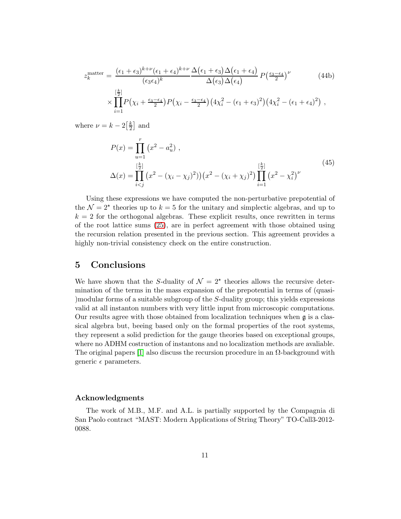$$
z_k^{\text{matter}} = \frac{(\epsilon_1 + \epsilon_3)^{k+\nu}(\epsilon_1 + \epsilon_4)^{k+\nu}}{(\epsilon_3 \epsilon_4)^k} \frac{\Delta(\epsilon_1 + \epsilon_3)\Delta(\epsilon_1 + \epsilon_4)}{\Delta(\epsilon_3)\Delta(\epsilon_4)} P\left(\frac{\epsilon_3 - \epsilon_4}{2}\right)^{\nu} \qquad (44b)
$$
  
 
$$
\times \prod_{i=1}^{\left[\frac{k}{2}\right]} P\left(\chi_i + \frac{\epsilon_3 - \epsilon_4}{2}\right) P\left(\chi_i - \frac{\epsilon_3 - \epsilon_4}{2}\right) \left(4\chi_i^2 - (\epsilon_1 + \epsilon_3)^2\right) \left(4\chi_i^2 - (\epsilon_1 + \epsilon_4)^2\right) ,
$$

where  $\nu = k - 2\left[\frac{k}{2}\right]$  $\frac{k}{2}$  and

$$
P(x) = \prod_{u=1}^{r} (x^{2} - a_{u}^{2}),
$$
  
\n
$$
\Delta(x) = \prod_{i < j}^{\left[\frac{k}{2}\right]} (x^{2} - (\chi_{i} - \chi_{j})^{2})) (x^{2} - (\chi_{i} + \chi_{j})^{2}) \prod_{i=1}^{\left[\frac{k}{2}\right]} (x^{2} - \chi_{i}^{2})^{\nu}
$$
\n(45)

Using these expressions we have computed the non-perturbative prepotential of the  $\mathcal{N} = 2^{\star}$  theories up to  $k = 5$  for the unitary and simplectic algebras, and up to  $k = 2$  for the orthogonal algebras. These explicit results, once rewritten in terms of the root lattice sums [\(25\)](#page-5-2), are in perfect agreement with those obtained using the recursion relation presented in the previous section. This agreement provides a highly non-trivial consistency check on the entire construction.

## 5 Conclusions

We have shown that the S-duality of  $\mathcal{N} = 2^*$  theories allows the recursive determination of the terms in the mass expansion of the prepotential in terms of (quasi- )modular forms of a suitable subgroup of the S-duality group; this yields expressions valid at all instanton numbers with very little input from microscopic computations. Our results agree with those obtained from localization techniques when  $\mathfrak g$  is a classical algebra but, beeing based only on the formal properties of the root systems, they represent a solid prediction for the gauge theories based on exceptional groups, where no ADHM costruction of instantons and no localization methods are avaliable. The original papers [\[1\]](#page-12-0) also discuss the recursion procedure in an  $\Omega$ -background with generic  $\epsilon$  parameters.

#### Acknowledgments

The work of M.B., M.F. and A.L. is partially supported by the Compagnia di San Paolo contract "MAST: Modern Applications of String Theory" TO-Call3-2012- 0088.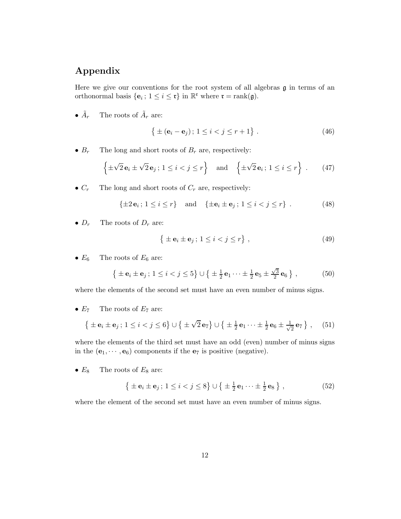# Appendix

Here we give our conventions for the root system of all algebras  $\mathfrak g$  in terms of an orthonormal basis  $\{\mathbf{e}_i; 1 \leq i \leq \mathfrak{r}\}\$ in  $\mathbb{R}^{\mathfrak{r}}$  where  $\mathfrak{r} = \text{rank}(\mathfrak{g})$ .

 $\bullet$   $\tilde{A}_r$ r The roots of  $\tilde{A}_r$  are:

$$
\{ \pm (\mathbf{e}_i - \mathbf{e}_j) \, ; \, 1 \le i < j \le r + 1 \} \; . \tag{46}
$$

•  $B_r$  The long and short roots of  $B_r$  are, respectively:

$$
\left\{\pm\sqrt{2}\,\mathbf{e}_i\pm\sqrt{2}\,\mathbf{e}_j\,;\,1\leq i
$$

•  $C_r$  The long and short roots of  $C_r$  are, respectively:

$$
\{\pm 2\mathbf{e}_i\,;\,1\leq i\leq r\}\quad\text{and}\quad\{\pm\mathbf{e}_i\pm\mathbf{e}_j\,;\,1\leq i
$$

•  $D_r$  The roots of  $D_r$  are:

$$
\left\{ \pm \mathbf{e}_i \pm \mathbf{e}_j \, ; \, 1 \le i < j \le r \right\},\tag{49}
$$

•  $E_6$  The roots of  $E_6$  are:

$$
\{ \pm \mathbf{e}_i \pm \mathbf{e}_j \, ; \, 1 \leq i < j \leq 5 \} \cup \{ \pm \frac{1}{2} \mathbf{e}_1 \cdots \pm \frac{1}{2} \mathbf{e}_5 \pm \frac{\sqrt{3}}{2} \mathbf{e}_6 \}, \tag{50}
$$

where the elements of the second set must have an even number of minus signs.

•  $E_7$  The roots of  $E_7$  are:

$$
\left\{ \pm \mathbf{e}_i \pm \mathbf{e}_j; 1 \leq i < j \leq 6 \right\} \cup \left\{ \pm \sqrt{2} \mathbf{e}_7 \right\} \cup \left\{ \pm \frac{1}{2} \mathbf{e}_1 \cdots \pm \frac{1}{2} \mathbf{e}_6 \pm \frac{1}{\sqrt{2}} \mathbf{e}_7 \right\},\tag{51}
$$

where the elements of the third set must have an odd (even) number of minus signs in the  $(e_1, \dots, e_6)$  components if the  $e_7$  is positive (negative).

•  $E_8$  The roots of  $E_8$  are:

$$
\left\{ \pm \mathbf{e}_i \pm \mathbf{e}_j \, ; \, 1 \leq i < j \leq 8 \right\} \cup \left\{ \pm \frac{1}{2} \mathbf{e}_1 \cdots \pm \frac{1}{2} \mathbf{e}_8 \right\},\tag{52}
$$

where the element of the second set must have an even number of minus signs.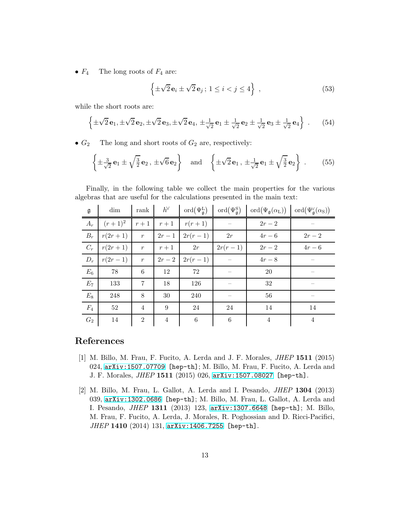•  $F_4$  The long roots of  $F_4$  are:

$$
\left\{\pm\sqrt{2}\,\mathbf{e}_i\pm\sqrt{2}\,\mathbf{e}_j\,;\,1\leq i
$$

while the short roots are:

$$
\left\{\pm\sqrt{2} \mathbf{e}_1, \pm\sqrt{2} \mathbf{e}_2, \pm\sqrt{2} \mathbf{e}_3, \pm\sqrt{2} \mathbf{e}_4, \pm\frac{1}{\sqrt{2}} \mathbf{e}_1 \pm \frac{1}{\sqrt{2}} \mathbf{e}_2 \pm \frac{1}{\sqrt{2}} \mathbf{e}_3 \pm \frac{1}{\sqrt{2}} \mathbf{e}_4\right\}.
$$
 (54)

•  $G_2$  The long and short roots of  $G_2$  are, respectively:

$$
\left\{\pm\frac{3}{\sqrt{2}}\mathbf{e}_1\pm\sqrt{\frac{3}{2}}\mathbf{e}_2\,,\,\pm\sqrt{6}\,\mathbf{e}_2\right\}\quad\text{and}\quad\left\{\pm\sqrt{2}\,\mathbf{e}_1\,,\,\pm\frac{1}{\sqrt{2}}\,\mathbf{e}_1\pm\sqrt{\frac{3}{2}}\,\mathbf{e}_2\right\}\,. \tag{55}
$$

Finally, in the following table we collect the main properties for the various algebras that are useful for the calculations presented in the main text:

| $\frak g$ | dim       | rank             | $h^{\vee}$     | ord $(\Psi_{\mathfrak{g}}^{\rm L})$ | $\operatorname{ord}(\Psi^{\mathrm{S}}_{\mathfrak{a}})$ | $\mathrm{ord}(\Psi_{\mathfrak{g}}(\alpha_{\mathrm{L}}))$ | ord $(\Psi_{\mathfrak{a}}^{\vee}(\alpha_{\mathrm{S}}))$ |
|-----------|-----------|------------------|----------------|-------------------------------------|--------------------------------------------------------|----------------------------------------------------------|---------------------------------------------------------|
| $A_r$     | $(r+1)^2$ | $r+1$            | $r+1$          | $r(r+1)$                            |                                                        | $2r-2$                                                   |                                                         |
| $B_r$     | $r(2r+1)$ | $\boldsymbol{r}$ | $2r-1$         | $2r(r-1)$                           | 2r                                                     | $4r-6$                                                   | $2r-2$                                                  |
| $C_r$     | $r(2r+1)$ | $\mathcal{r}$    | $r+1$          | 2r                                  | $2r(r-1)$                                              | $2r-2$                                                   | $4r-6$                                                  |
| $D_r$     | $r(2r-1)$ | $\boldsymbol{r}$ | $2r-2$         | $2r(r-1)$                           |                                                        | $4r-8$                                                   |                                                         |
| $E_6$     | 78        | 6                | 12             | 72                                  |                                                        | 20                                                       |                                                         |
| $E_7$     | 133       | 7                | 18             | 126                                 |                                                        | $32\,$                                                   |                                                         |
| $E_8$     | 248       | 8                | 30             | 240                                 |                                                        | 56                                                       |                                                         |
| $F_4$     | 52        | $\overline{4}$   | 9              | 24                                  | 24                                                     | 14                                                       | 14                                                      |
| $G_2$     | 14        | $\overline{2}$   | $\overline{4}$ | $\,6\,$                             | $\,6\,$                                                | $\overline{4}$                                           | $\overline{4}$                                          |

# <span id="page-12-0"></span>References

- [1] M. Billo, M. Frau, F. Fucito, A. Lerda and J. F. Morales, JHEP 1511 (2015) 024, [arXiv:1507.07709](http://arxiv.org/abs/1507.07709) [hep-th]; M. Billo, M. Frau, F. Fucito, A. Lerda and J. F. Morales, JHEP 1511 (2015) 026, [arXiv:1507.08027](http://arxiv.org/abs/1507.08027) [hep-th].
- <span id="page-12-1"></span>[2] M. Billo, M. Frau, L. Gallot, A. Lerda and I. Pesando, JHEP 1304 (2013) 039, [arXiv:1302.0686](http://arxiv.org/abs/1302.0686) [hep-th]; M. Billo, M. Frau, L. Gallot, A. Lerda and I. Pesando, JHEP 1311 (2013) 123, [arXiv:1307.6648](http://arxiv.org/abs/1307.6648) [hep-th]; M. Billo, M. Frau, F. Fucito, A. Lerda, J. Morales, R. Poghossian and D. Ricci-Pacifici, JHEP 1410 (2014) 131, [arXiv:1406.7255](http://arxiv.org/abs/1406.7255) [hep-th].